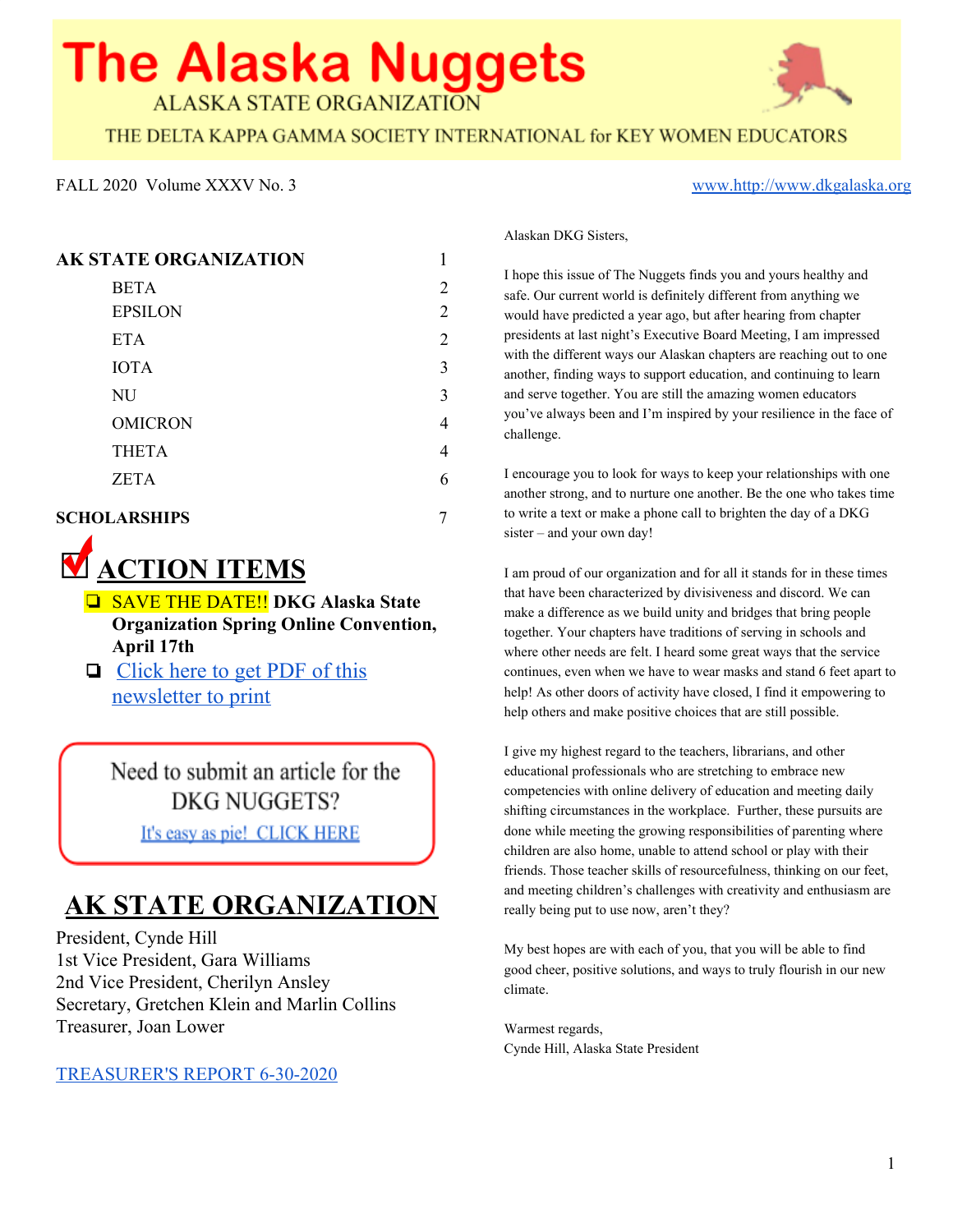# **The Alaska Nuggets ALASKA STATE ORGANIZATION**

THE DELTA KAPPA GAMMA SOCIETY INTERNATIONAL for KEY WOMEN EDUCATORS

#### FALL 2020 Volume XXXV No. 3 [www.http://www.dkgalaska.org](http://www.dkgalaska.org/)

#### **AK STATE ORGANIZATION** 1

| <b>BETA</b><br><b>EPSILON</b> | 2<br>$\overline{2}$ |
|-------------------------------|---------------------|
| <b>ETA</b>                    | $\overline{2}$      |
| <b>IOTA</b>                   | 3                   |
| NU                            | 3                   |
| <b>OMICRON</b>                | 4                   |
| <b>THETA</b>                  | 4                   |
| <b>ZETA</b>                   | 6                   |
|                               |                     |

#### **SCHOLARSHIPS** 7



- ❏ SAVE THE DATE!! **DKG Alaska State Organization Spring Online Convention, April 17th**
- ❏ [Click](https://documentcloud.adobe.com/link/review?uri=urn:aaid:scds:US:0b4d2e13-59ce-44a3-88e9-e0e5c2d95f21) here to get PDF of this [newsletter](https://documentcloud.adobe.com/link/review?uri=urn:aaid:scds:US:0b4d2e13-59ce-44a3-88e9-e0e5c2d95f21) to print

Need to submit an article for the **DKG NUGGETS?** It's easy as pie! CLICK HERE

## **AK STATE ORGANIZATION**

President, Cynde Hill 1st Vice President, Gara Williams 2nd Vice President, Cherilyn Ansley Secretary, Gretchen Klein and Marlin Collins Treasurer, Joan Lower

[TREASURER'S REPORT 6-30-2020](https://documentcloud.adobe.com/link/review?uri=urn:aaid:scds:US:8e6ecd56-ff2f-439e-97c0-364f6a8e0a32)

Alaskan DKG Sisters,

I hope this issue of The Nuggets finds you and yours healthy and safe. Our current world is definitely different from anything we would have predicted a year ago, but after hearing from chapter presidents at last night's Executive Board Meeting, I am impressed with the different ways our Alaskan chapters are reaching out to one another, finding ways to support education, and continuing to learn and serve together. You are still the amazing women educators you've always been and I'm inspired by your resilience in the face of challenge.

I encourage you to look for ways to keep your relationships with one another strong, and to nurture one another. Be the one who takes time to write a text or make a phone call to brighten the day of a DKG sister – and your own day!

I am proud of our organization and for all it stands for in these times that have been characterized by divisiveness and discord. We can make a difference as we build unity and bridges that bring people together. Your chapters have traditions of serving in schools and where other needs are felt. I heard some great ways that the service continues, even when we have to wear masks and stand 6 feet apart to help! As other doors of activity have closed, I find it empowering to help others and make positive choices that are still possible.

I give my highest regard to the teachers, librarians, and other educational professionals who are stretching to embrace new competencies with online delivery of education and meeting daily shifting circumstances in the workplace. Further, these pursuits are done while meeting the growing responsibilities of parenting where children are also home, unable to attend school or play with their friends. Those teacher skills of resourcefulness, thinking on our feet, and meeting children's challenges with creativity and enthusiasm are really being put to use now, aren't they?

My best hopes are with each of you, that you will be able to find good cheer, positive solutions, and ways to truly flourish in our new climate.

Warmest regards, Cynde Hill, Alaska State President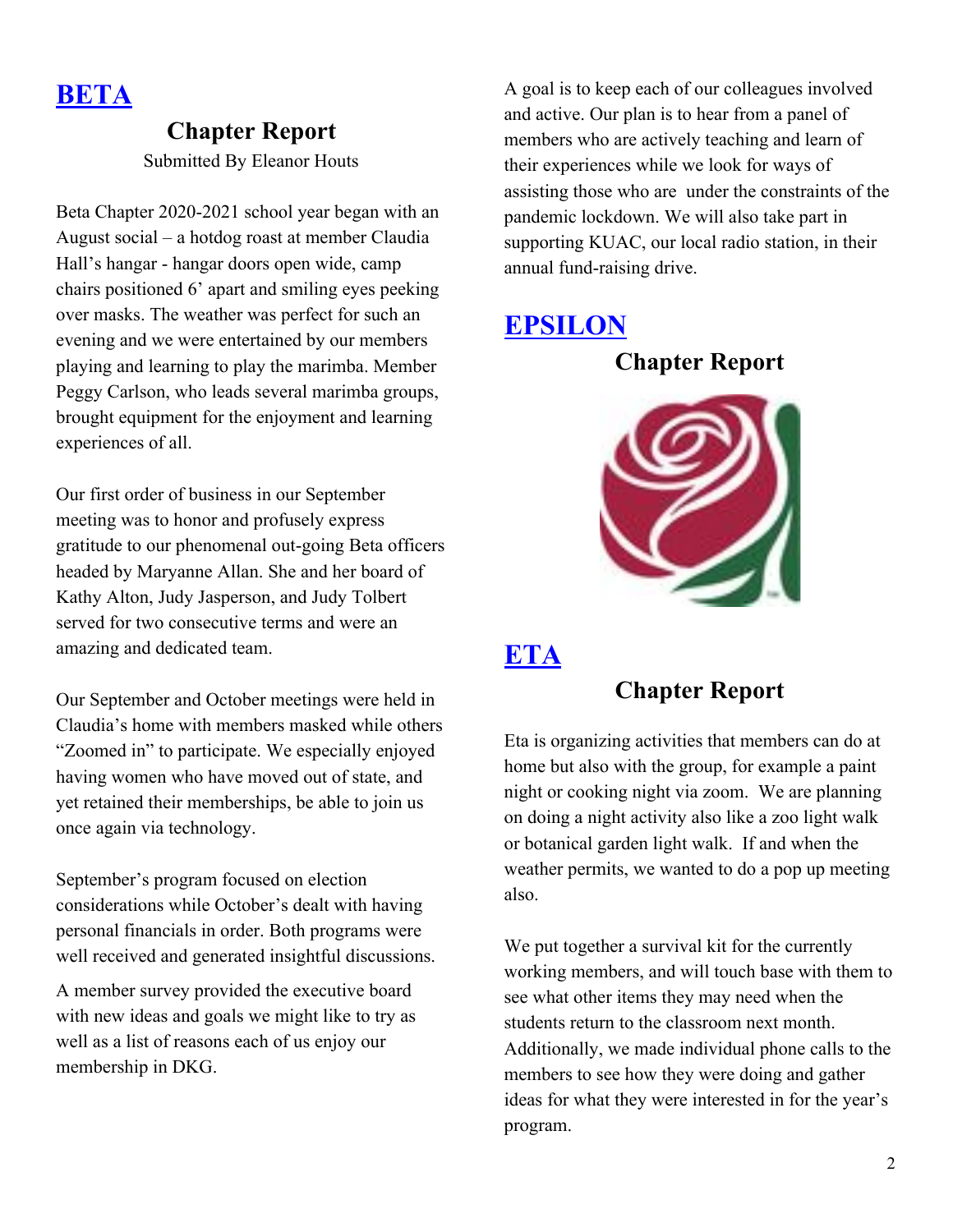

#### **Chapter Report**

Submitted By Eleanor Houts

Beta Chapter 2020-2021 school year began with an August social – a hotdog roast at member Claudia Hall's hangar - hangar doors open wide, camp chairs positioned 6' apart and smiling eyes peeking over masks. The weather was perfect for such an evening and we were entertained by our members playing and learning to play the marimba. Member Peggy Carlson, who leads several marimba groups, brought equipment for the enjoyment and learning experiences of all.

Our first order of business in our September meeting was to honor and profusely express gratitude to our phenomenal out-going Beta officers headed by Maryanne Allan. She and her board of Kathy Alton, Judy Jasperson, and Judy Tolbert served for two consecutive terms and were an amazing and dedicated team.

Our September and October meetings were held in Claudia's home with members masked while others "Zoomed in" to participate. We especially enjoyed having women who have moved out of state, and yet retained their memberships, be able to join us once again via technology.

September's program focused on election considerations while October's dealt with having personal financials in order. Both programs were well received and generated insightful discussions.

A member survey provided the executive board with new ideas and goals we might like to try as well as a list of reasons each of us enjoy our membership in DKG.

A goal is to keep each of our colleagues involved and active. Our plan is to hear from a panel of members who are actively teaching and learn of their experiences while we look for ways of assisting those who are under the constraints of the pandemic lockdown. We will also take part in supporting KUAC, our local radio station, in their annual fund-raising drive.

#### **EPSILON**

**Chapter Report**



#### **ETA**

#### **Chapter Report**

Eta is organizing activities that members can do at home but also with the group, for example a paint night or cooking night via zoom. We are planning on doing a night activity also like a zoo light walk or botanical garden light walk. If and when the weather permits, we wanted to do a pop up meeting also.

We put together a survival kit for the currently working members, and will touch base with them to see what other items they may need when the students return to the classroom next month. Additionally, we made individual phone calls to the members to see how they were doing and gather ideas for what they were interested in for the year's program.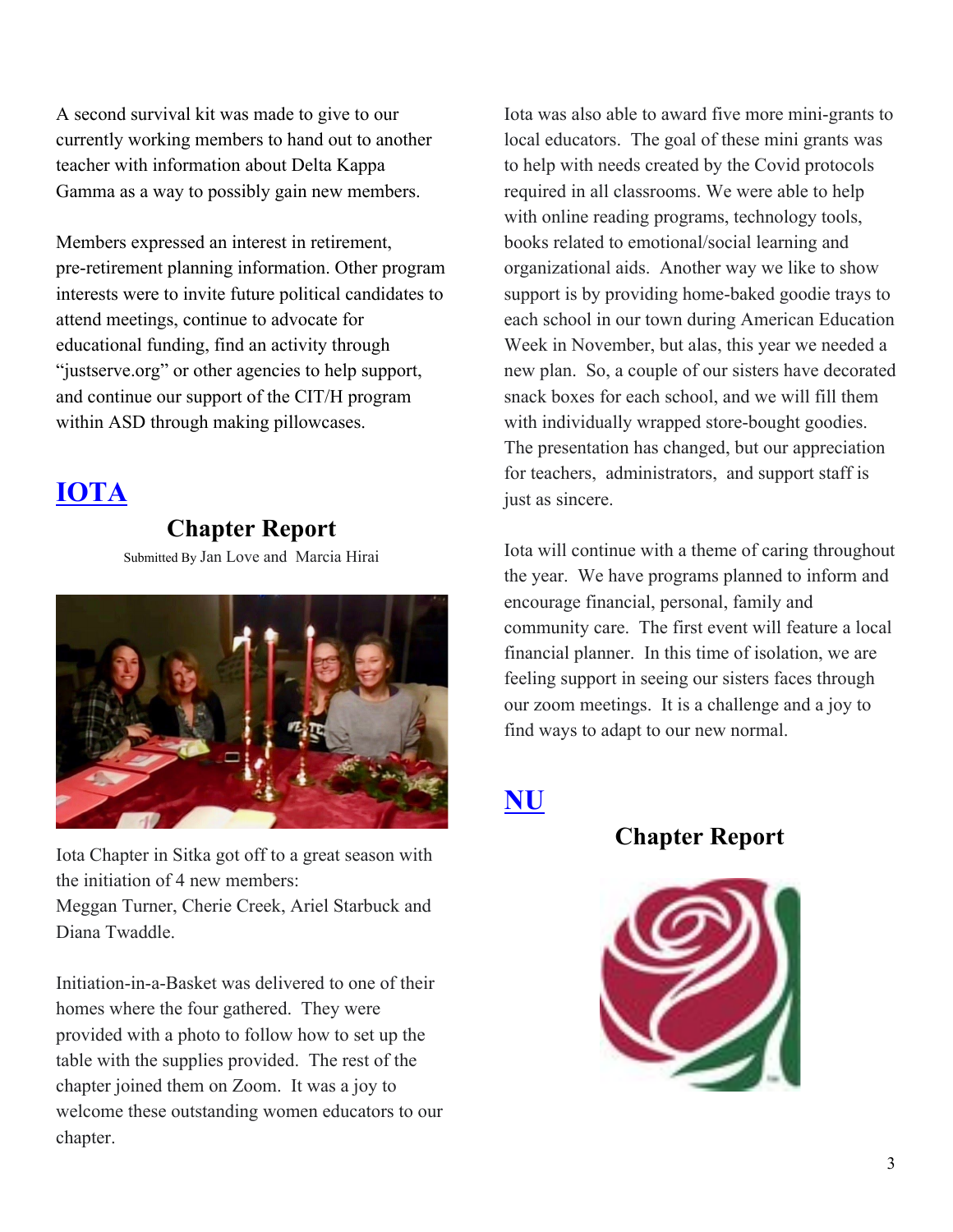A second survival kit was made to give to our currently working members to hand out to another teacher with information about Delta Kappa Gamma as a way to possibly gain new members.

Members expressed an interest in retirement, pre-retirement planning information. Other program interests were to invite future political candidates to attend meetings, continue to advocate for educational funding, find an activity through "justserve.org" or other agencies to help support, and continue our support of the CIT/H program within ASD through making pillowcases.

## **IOTA**

#### **Chapter Report**

Submitted By Jan Love and Marcia Hirai



Iota Chapter in Sitka got off to a great season with the initiation of 4 new members:

Meggan Turner, Cherie Creek, Ariel Starbuck and Diana Twaddle.

Initiation-in-a-Basket was delivered to one of their homes where the four gathered. They were provided with a photo to follow how to set up the table with the supplies provided. The rest of the chapter joined them on Zoom. It was a joy to welcome these outstanding women educators to our chapter.

Iota was also able to award five more mini-grants to local educators. The goal of these mini grants was to help with needs created by the Covid protocols required in all classrooms. We were able to help with online reading programs, technology tools, books related to emotional/social learning and organizational aids. Another way we like to show support is by providing home-baked goodie trays to each school in our town during American Education Week in November, but alas, this year we needed a new plan. So, a couple of our sisters have decorated snack boxes for each school, and we will fill them with individually wrapped store-bought goodies. The presentation has changed, but our appreciation for teachers, administrators, and support staff is just as sincere.

Iota will continue with a theme of caring throughout the year. We have programs planned to inform and encourage financial, personal, family and community care. The first event will feature a local financial planner. In this time of isolation, we are feeling support in seeing our sisters faces through our zoom meetings. It is a challenge and a joy to find ways to adapt to our new normal.

#### **NU**

**Chapter Report**

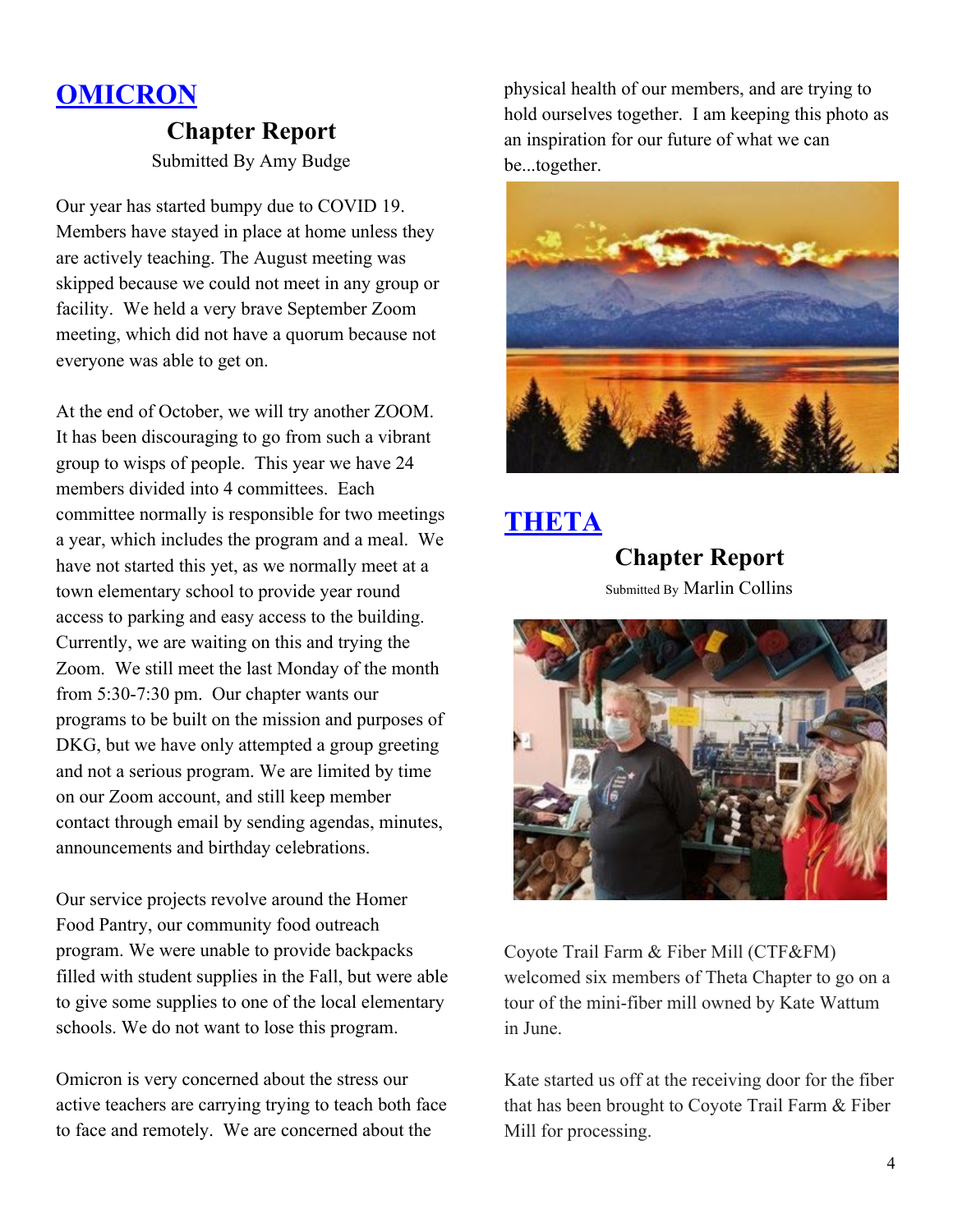## **OMICRON**

#### **Chapter Report** Submitted By Amy Budge

Our year has started bumpy due to COVID 19. Members have stayed in place at home unless they are actively teaching. The August meeting was skipped because we could not meet in any group or facility. We held a very brave September Zoom meeting, which did not have a quorum because not everyone was able to get on.

At the end of October, we will try another ZOOM. It has been discouraging to go from such a vibrant group to wisps of people. This year we have 24 members divided into 4 committees. Each committee normally is responsible for two meetings a year, which includes the program and a meal. We have not started this yet, as we normally meet at a town elementary school to provide year round access to parking and easy access to the building. Currently, we are waiting on this and trying the Zoom. We still meet the last Monday of the month from 5:30-7:30 pm. Our chapter wants our programs to be built on the mission and purposes of DKG, but we have only attempted a group greeting and not a serious program. We are limited by time on our Zoom account, and still keep member contact through email by sending agendas, minutes, announcements and birthday celebrations.

Our service projects revolve around the Homer Food Pantry, our community food outreach program. We were unable to provide backpacks filled with student supplies in the Fall, but were able to give some supplies to one of the local elementary schools. We do not want to lose this program.

Omicron is very concerned about the stress our active teachers are carrying trying to teach both face to face and remotely. We are concerned about the

physical health of our members, and are trying to hold ourselves together. I am keeping this photo as an inspiration for our future of what we can be...together.



### **THETA**

**Chapter Report** Submitted By Marlin Collins



Coyote Trail Farm & Fiber Mill (CTF&FM) welcomed six members of Theta Chapter to go on a tour of the mini-fiber mill owned by Kate Wattum in June.

Kate started us off at the receiving door for the fiber that has been brought to Coyote Trail Farm & Fiber Mill for processing.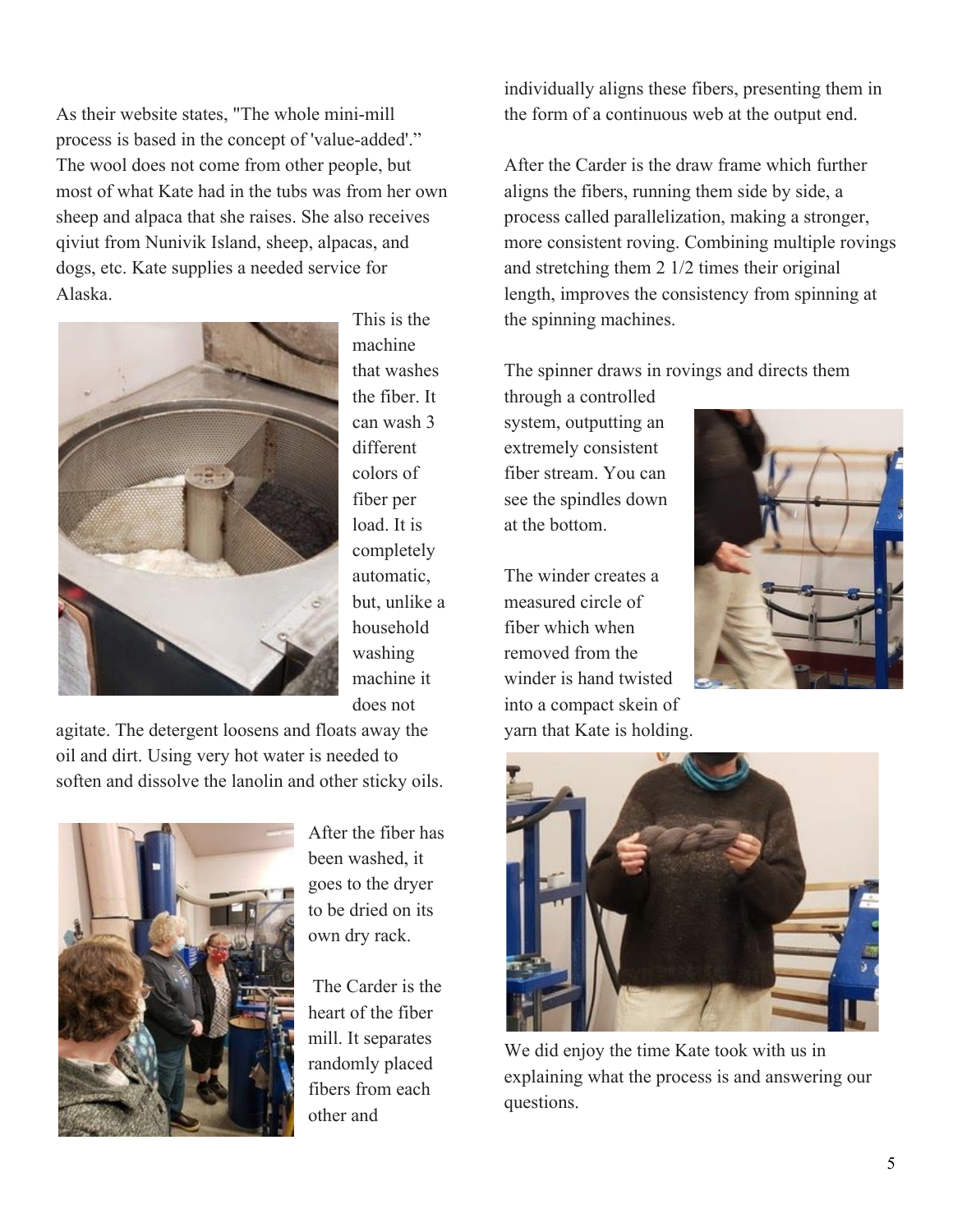As their website states, "The whole mini-mill process is based in the concept of 'value-added'." The wool does not come from other people, but most of what Kate had in the tubs was from her own sheep and alpaca that she raises. She also receives qiviut from Nunivik Island, sheep, alpacas, and dogs, etc. Kate supplies a needed service for Alaska.



This is the machine that washes the fiber. It can wash 3 different colors of fiber per load It is completely automatic, but, unlike a household washing machine it does not

agitate. The detergent loosens and floats away the oil and dirt. Using very hot water is needed to soften and dissolve the lanolin and other sticky oils.



After the fiber has been washed, it goes to the dryer to be dried on its own dry rack.

 The Carder is the heart of the fiber mill. It separates randomly placed fibers from each other and

individually aligns these fibers, presenting them in the form of a continuous web at the output end.

After the Carder is the draw frame which further aligns the fibers, running them side by side, a process called parallelization, making a stronger, more consistent roving. Combining multiple rovings and stretching them 2 1/2 times their original length, improves the consistency from spinning at the spinning machines.

The spinner draws in rovings and directs them

through a controlled system, outputting an extremely consistent fiber stream. You can see the spindles down at the bottom.

The winder creates a measured circle of fiber which when removed from the winder is hand twisted into a compact skein of yarn that Kate is holding.





We did enjoy the time Kate took with us in explaining what the process is and answering our questions.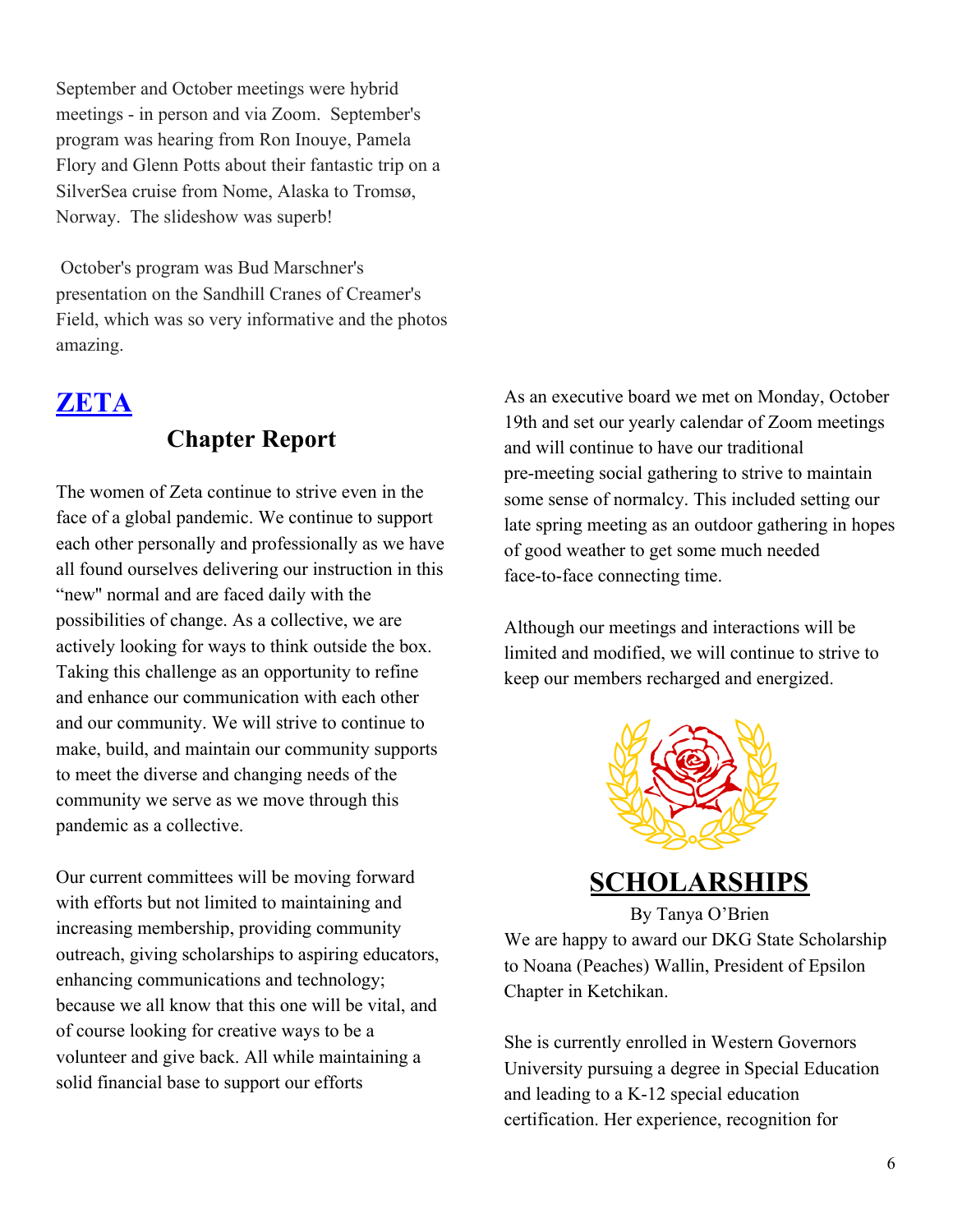September and October meetings were hybrid meetings - in person and via Zoom. September's program was hearing from Ron Inouye, Pamela Flory and Glenn Potts about their fantastic trip on a SilverSea cruise from Nome, Alaska to Tromsø, Norway. The slideshow was superb!

 October's program was Bud Marschner's presentation on the Sandhill Cranes of Creamer's Field, which was so very informative and the photos amazing.

#### **ZETA**

#### **Chapter Report**

The women of Zeta continue to strive even in the face of a global pandemic. We continue to support each other personally and professionally as we have all found ourselves delivering our instruction in this "new'' normal and are faced daily with the possibilities of change. As a collective, we are actively looking for ways to think outside the box. Taking this challenge as an opportunity to refine and enhance our communication with each other and our community. We will strive to continue to make, build, and maintain our community supports to meet the diverse and changing needs of the community we serve as we move through this pandemic as a collective.

Our current committees will be moving forward with efforts but not limited to maintaining and increasing membership, providing community outreach, giving scholarships to aspiring educators, enhancing communications and technology; because we all know that this one will be vital, and of course looking for creative ways to be a volunteer and give back. All while maintaining a solid financial base to support our efforts

As an executive board we met on Monday, October 19th and set our yearly calendar of Zoom meetings and will continue to have our traditional pre-meeting social gathering to strive to maintain some sense of normalcy. This included setting our late spring meeting as an outdoor gathering in hopes of good weather to get some much needed face-to-face connecting time.

Although our meetings and interactions will be limited and modified, we will continue to strive to keep our members recharged and energized.



#### **SCHOLARSHIPS**

By Tanya O'Brien We are happy to award our DKG State Scholarship to Noana (Peaches) Wallin, President of Epsilon Chapter in Ketchikan.

She is currently enrolled in Western Governors University pursuing a degree in Special Education and leading to a K-12 special education certification. Her experience, recognition for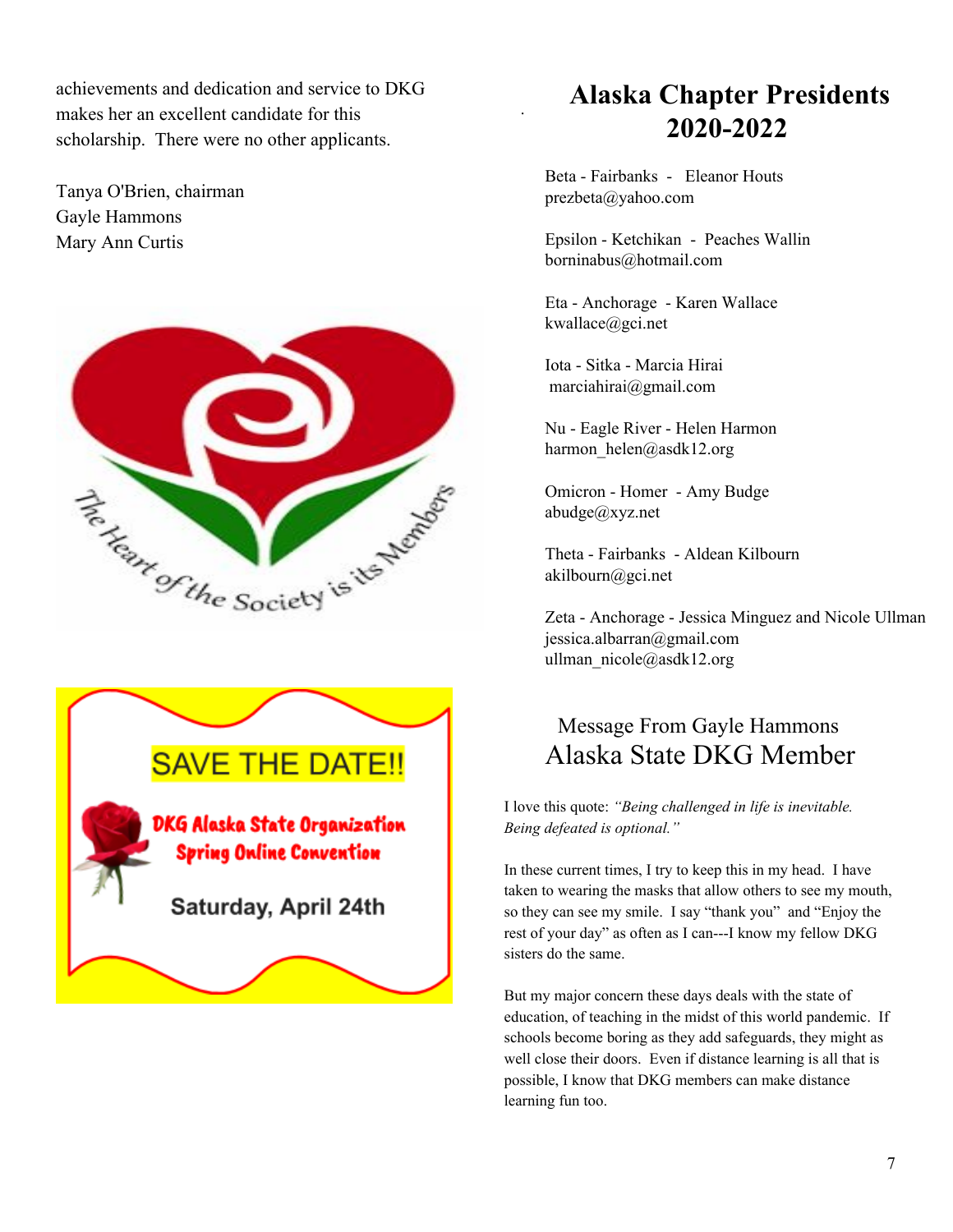achievements and dedication and service to DKG makes her an excellent candidate for this scholarship. There were no other applicants.

Tanya O'Brien, chairman Gayle Hammons Mary Ann Curtis





## **Alaska Chapter Presidents 2020-2022**

Beta - Fairbanks - Eleanor Houts prezbeta@yahoo.com

.

Epsilon - Ketchikan - Peaches Wallin borninabus@hotmail.com

Eta - Anchorage - Karen Wallace kwallace@gci.net

Iota - Sitka - Marcia Hirai marciahirai@gmail.com

Nu - Eagle River - Helen Harmon harmon\_helen@asdk12.org

Omicron - Homer - Amy Budge abudge@xyz.net

Theta - Fairbanks - Aldean Kilbourn akilbourn@gci.net

Zeta - Anchorage - Jessica Minguez and Nicole Ullman jessica.albarran@gmail.com ullman\_nicole@asdk12.org

#### Message From Gayle Hammons Alaska State DKG Member

I love this quote: *"Being challenged in life is inevitable. Being defeated is optional."*

In these current times, I try to keep this in my head. I have taken to wearing the masks that allow others to see my mouth, so they can see my smile. I say "thank you" and "Enjoy the rest of your day" as often as I can---I know my fellow DKG sisters do the same.

But my major concern these days deals with the state of education, of teaching in the midst of this world pandemic. If schools become boring as they add safeguards, they might as well close their doors. Even if distance learning is all that is possible, I know that DKG members can make distance learning fun too.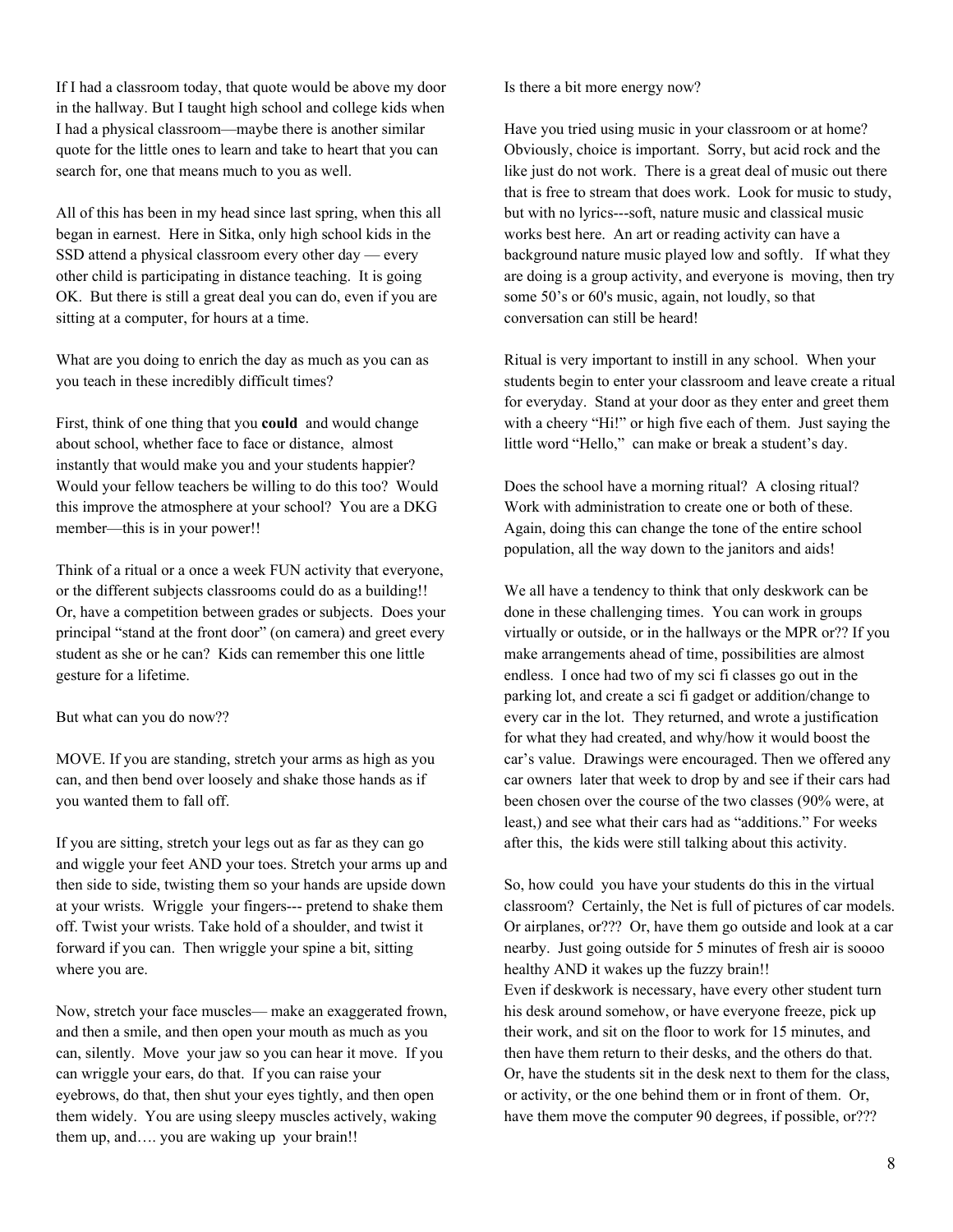If I had a classroom today, that quote would be above my door in the hallway. But I taught high school and college kids when I had a physical classroom—maybe there is another similar quote for the little ones to learn and take to heart that you can search for, one that means much to you as well.

All of this has been in my head since last spring, when this all began in earnest. Here in Sitka, only high school kids in the SSD attend a physical classroom every other day — every other child is participating in distance teaching. It is going OK. But there is still a great deal you can do, even if you are sitting at a computer, for hours at a time.

What are you doing to enrich the day as much as you can as you teach in these incredibly difficult times?

First, think of one thing that you **could** and would change about school, whether face to face or distance, almost instantly that would make you and your students happier? Would your fellow teachers be willing to do this too? Would this improve the atmosphere at your school? You are a DKG member—this is in your power!!

Think of a ritual or a once a week FUN activity that everyone, or the different subjects classrooms could do as a building!! Or, have a competition between grades or subjects. Does your principal "stand at the front door" (on camera) and greet every student as she or he can? Kids can remember this one little gesture for a lifetime.

But what can you do now??

MOVE. If you are standing, stretch your arms as high as you can, and then bend over loosely and shake those hands as if you wanted them to fall off.

If you are sitting, stretch your legs out as far as they can go and wiggle your feet AND your toes. Stretch your arms up and then side to side, twisting them so your hands are upside down at your wrists. Wriggle your fingers--- pretend to shake them off. Twist your wrists. Take hold of a shoulder, and twist it forward if you can. Then wriggle your spine a bit, sitting where you are.

Now, stretch your face muscles— make an exaggerated frown, and then a smile, and then open your mouth as much as you can, silently. Move your jaw so you can hear it move. If you can wriggle your ears, do that. If you can raise your eyebrows, do that, then shut your eyes tightly, and then open them widely. You are using sleepy muscles actively, waking them up, and…. you are waking up your brain!!

Is there a bit more energy now?

Have you tried using music in your classroom or at home? Obviously, choice is important. Sorry, but acid rock and the like just do not work. There is a great deal of music out there that is free to stream that does work. Look for music to study, but with no lyrics---soft, nature music and classical music works best here. An art or reading activity can have a background nature music played low and softly. If what they are doing is a group activity, and everyone is moving, then try some 50's or 60's music, again, not loudly, so that conversation can still be heard!

Ritual is very important to instill in any school. When your students begin to enter your classroom and leave create a ritual for everyday. Stand at your door as they enter and greet them with a cheery "Hi!" or high five each of them. Just saying the little word "Hello," can make or break a student's day.

Does the school have a morning ritual? A closing ritual? Work with administration to create one or both of these. Again, doing this can change the tone of the entire school population, all the way down to the janitors and aids!

We all have a tendency to think that only deskwork can be done in these challenging times. You can work in groups virtually or outside, or in the hallways or the MPR or?? If you make arrangements ahead of time, possibilities are almost endless. I once had two of my sci fi classes go out in the parking lot, and create a sci fi gadget or addition/change to every car in the lot. They returned, and wrote a justification for what they had created, and why/how it would boost the car's value. Drawings were encouraged. Then we offered any car owners later that week to drop by and see if their cars had been chosen over the course of the two classes (90% were, at least,) and see what their cars had as "additions." For weeks after this, the kids were still talking about this activity.

So, how could you have your students do this in the virtual classroom? Certainly, the Net is full of pictures of car models. Or airplanes, or??? Or, have them go outside and look at a car nearby. Just going outside for 5 minutes of fresh air is soooo healthy AND it wakes up the fuzzy brain!! Even if deskwork is necessary, have every other student turn his desk around somehow, or have everyone freeze, pick up their work, and sit on the floor to work for 15 minutes, and then have them return to their desks, and the others do that. Or, have the students sit in the desk next to them for the class, or activity, or the one behind them or in front of them. Or, have them move the computer 90 degrees, if possible, or???